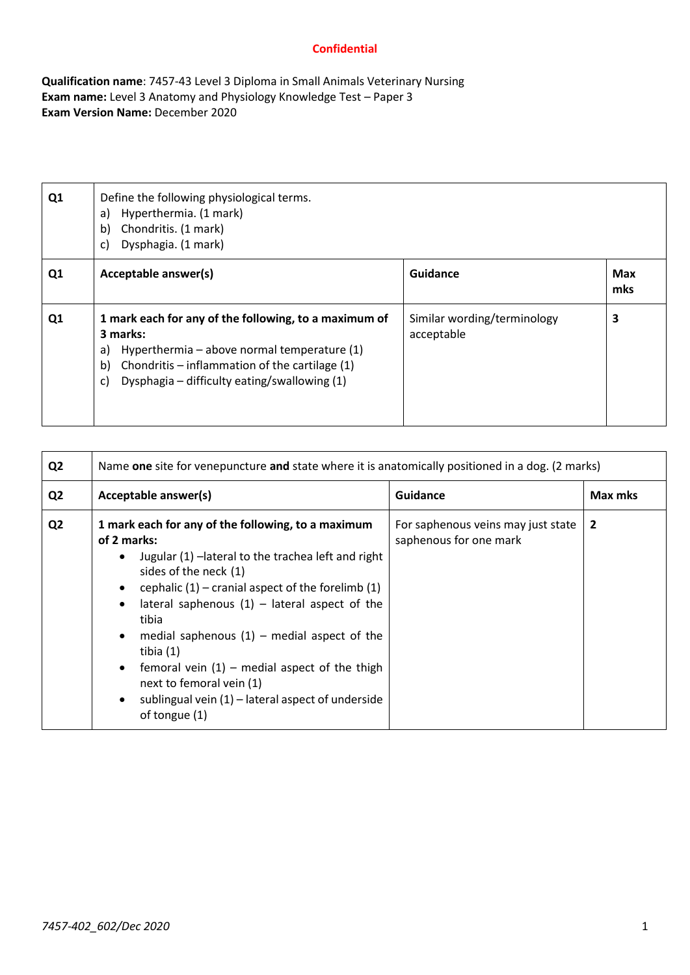**Qualification name**: 7457-43 Level 3 Diploma in Small Animals Veterinary Nursing **Exam name:** Level 3 Anatomy and Physiology Knowledge Test – Paper 3 **Exam Version Name:** December 2020

| Q1             | Define the following physiological terms.<br>Hyperthermia. (1 mark)<br>a)<br>Chondritis. (1 mark)<br>b)<br>Dysphagia. (1 mark)<br>C)                                                                                                   |                                           |                   |
|----------------|----------------------------------------------------------------------------------------------------------------------------------------------------------------------------------------------------------------------------------------|-------------------------------------------|-------------------|
| Q <sub>1</sub> | Acceptable answer(s)                                                                                                                                                                                                                   | Guidance                                  | <b>Max</b><br>mks |
| Q <sub>1</sub> | 1 mark each for any of the following, to a maximum of<br>3 marks:<br>Hyperthermia - above normal temperature (1)<br>a)<br>Chondritis – inflammation of the cartilage $(1)$<br>b)<br>Dysphagia - difficulty eating/swallowing (1)<br>C) | Similar wording/terminology<br>acceptable | 3                 |

| Q <sub>2</sub> | Name one site for venepuncture and state where it is anatomically positioned in a dog. (2 marks)                                                                                                                                                                                                                                                                                                                                                                                                                                     |                                                              |              |  |  |
|----------------|--------------------------------------------------------------------------------------------------------------------------------------------------------------------------------------------------------------------------------------------------------------------------------------------------------------------------------------------------------------------------------------------------------------------------------------------------------------------------------------------------------------------------------------|--------------------------------------------------------------|--------------|--|--|
| Q <sub>2</sub> | Acceptable answer(s)                                                                                                                                                                                                                                                                                                                                                                                                                                                                                                                 | <b>Guidance</b>                                              | Max mks      |  |  |
| Q <sub>2</sub> | 1 mark each for any of the following, to a maximum<br>of 2 marks:<br>Jugular (1) - lateral to the trachea left and right<br>$\bullet$<br>sides of the neck (1)<br>cephalic $(1)$ – cranial aspect of the forelimb $(1)$<br>lateral saphenous $(1)$ – lateral aspect of the<br>tibia<br>• medial saphenous $(1)$ – medial aspect of the<br>tibia (1)<br>femoral vein $(1)$ – medial aspect of the thigh<br>$\bullet$<br>next to femoral vein (1)<br>sublingual vein $(1)$ – lateral aspect of underside<br>$\bullet$<br>of tongue (1) | For saphenous veins may just state<br>saphenous for one mark | $\mathbf{2}$ |  |  |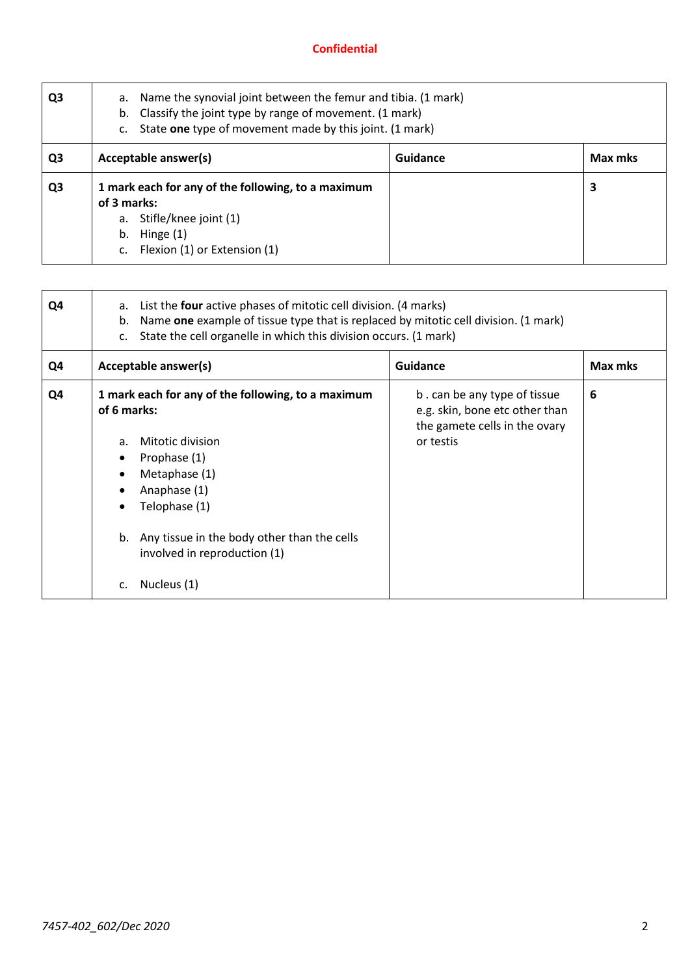| Q <sub>3</sub> | a. Name the synovial joint between the femur and tibia. (1 mark)<br>Classify the joint type by range of movement. (1 mark)<br>b.<br>State one type of movement made by this joint. (1 mark)<br>C. |  |   |  |
|----------------|---------------------------------------------------------------------------------------------------------------------------------------------------------------------------------------------------|--|---|--|
| Q3             | Acceptable answer(s)<br>Guidance<br>Max mks                                                                                                                                                       |  |   |  |
| Q <sub>3</sub> | 1 mark each for any of the following, to a maximum<br>of 3 marks:<br>Stifle/knee joint (1)<br>а.<br>Hinge (1)<br>b.<br>Flexion (1) or Extension (1)                                               |  | 3 |  |

| Q4 | List the four active phases of mitotic cell division. (4 marks)<br>а.<br>Name one example of tissue type that is replaced by mitotic cell division. (1 mark)<br>b.<br>State the cell organelle in which this division occurs. (1 mark)<br>$C_{\star}$ |                                                                                                              |         |  |
|----|-------------------------------------------------------------------------------------------------------------------------------------------------------------------------------------------------------------------------------------------------------|--------------------------------------------------------------------------------------------------------------|---------|--|
| Q4 | Acceptable answer(s)                                                                                                                                                                                                                                  | <b>Guidance</b>                                                                                              | Max mks |  |
| Q4 | 1 mark each for any of the following, to a maximum<br>of 6 marks:<br>Mitotic division<br>a.<br>Prophase (1)<br>Metaphase (1)<br>Anaphase (1)<br>Telophase (1)<br>b. Any tissue in the body other than the cells<br>involved in reproduction (1)       | b. can be any type of tissue<br>e.g. skin, bone etc other than<br>the gamete cells in the ovary<br>or testis | 6       |  |
|    | Nucleus (1)                                                                                                                                                                                                                                           |                                                                                                              |         |  |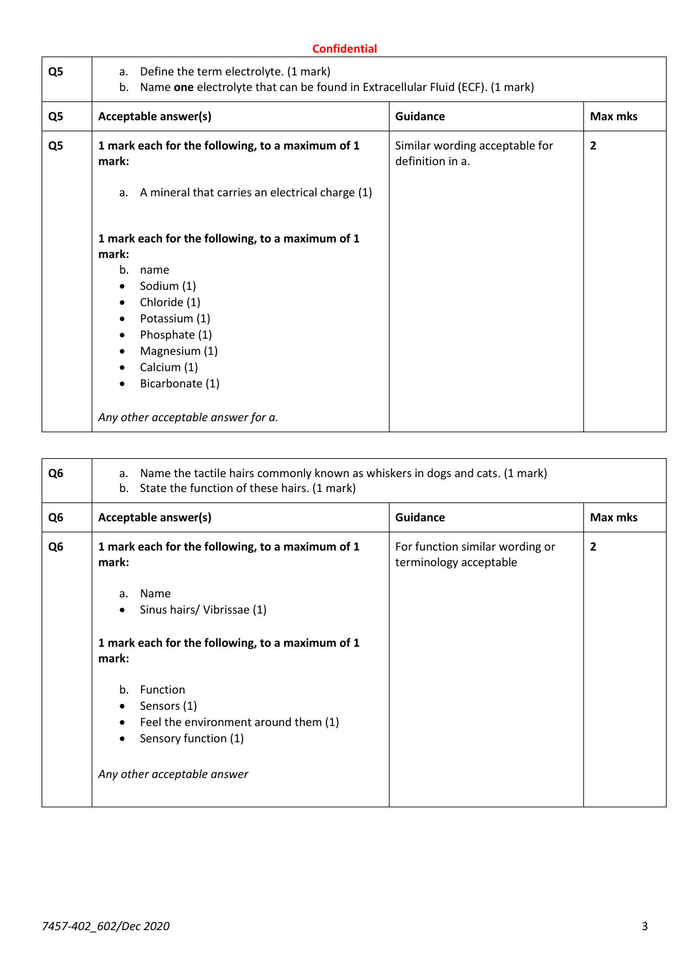| Q5 | Acceptable answer(s)                                                                                                                                                                                | <b>Guidance</b>                                    | Max mks      |
|----|-----------------------------------------------------------------------------------------------------------------------------------------------------------------------------------------------------|----------------------------------------------------|--------------|
| Q5 | 1 mark each for the following, to a maximum of 1<br>mark:                                                                                                                                           | Similar wording acceptable for<br>definition in a. | $\mathbf{2}$ |
|    | a. A mineral that carries an electrical charge (1)                                                                                                                                                  |                                                    |              |
|    | 1 mark each for the following, to a maximum of 1<br>mark:                                                                                                                                           |                                                    |              |
|    | b.<br>name<br>Sodium (1)<br>$\bullet$<br>Chloride (1)<br>$\bullet$<br>Potassium (1)<br>$\bullet$<br>Phosphate (1)<br>٠<br>Magnesium (1)<br>$\bullet$<br>Calcium (1)<br>$\bullet$<br>Bicarbonate (1) |                                                    |              |

| Q <sub>6</sub> | Name the tactile hairs commonly known as whiskers in dogs and cats. (1 mark)<br>a.<br>State the function of these hairs. (1 mark)<br>b.                            |                                                           |                |  |
|----------------|--------------------------------------------------------------------------------------------------------------------------------------------------------------------|-----------------------------------------------------------|----------------|--|
| Q <sub>6</sub> | Acceptable answer(s)                                                                                                                                               | <b>Guidance</b>                                           | Max mks        |  |
| Q <sub>6</sub> | 1 mark each for the following, to a maximum of 1<br>mark:                                                                                                          | For function similar wording or<br>terminology acceptable | $\overline{2}$ |  |
|                | Name<br>a.<br>Sinus hairs/Vibrissae (1)<br>$\bullet$                                                                                                               |                                                           |                |  |
|                | 1 mark each for the following, to a maximum of 1<br>mark:                                                                                                          |                                                           |                |  |
|                | Function<br>b <sub>1</sub><br>Sensors (1)<br>Feel the environment around them (1)<br>$\bullet$<br>Sensory function (1)<br>$\bullet$<br>Any other acceptable answer |                                                           |                |  |
|                |                                                                                                                                                                    |                                                           |                |  |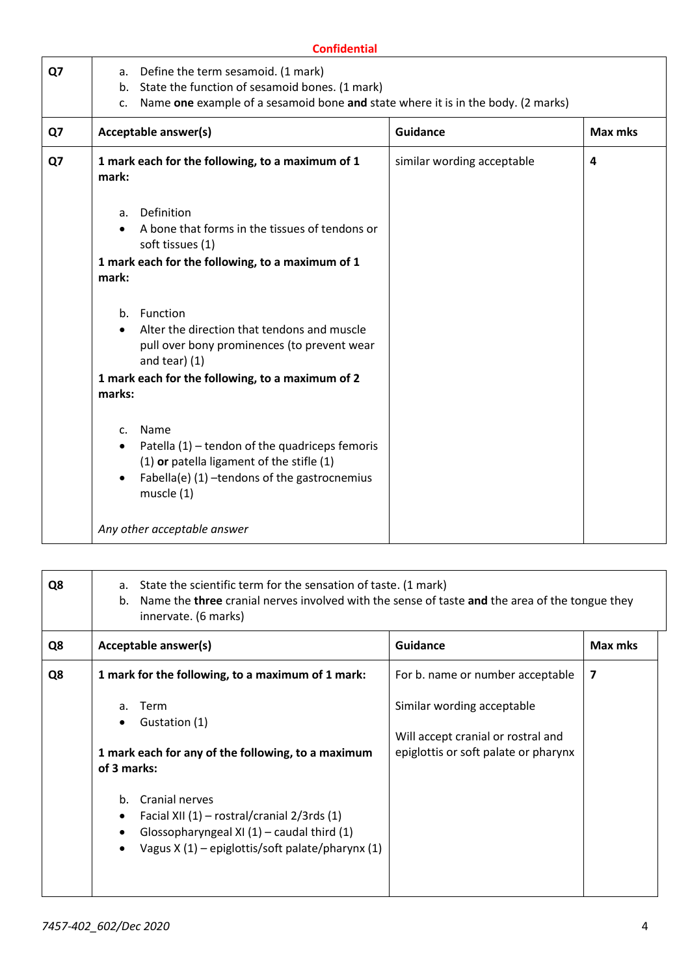|    | <b>Confidential</b>                                                                                                                                                                                                                            |                            |         |  |  |
|----|------------------------------------------------------------------------------------------------------------------------------------------------------------------------------------------------------------------------------------------------|----------------------------|---------|--|--|
| Q7 | Define the term sesamoid. (1 mark)<br>a.<br>State the function of sesamoid bones. (1 mark)<br>b.<br>Name one example of a sesamoid bone and state where it is in the body. (2 marks)<br>c.                                                     |                            |         |  |  |
| Q7 | Acceptable answer(s)                                                                                                                                                                                                                           | <b>Guidance</b>            | Max mks |  |  |
| Q7 | 1 mark each for the following, to a maximum of 1<br>mark:                                                                                                                                                                                      | similar wording acceptable | 4       |  |  |
|    | Definition<br>a.<br>A bone that forms in the tissues of tendons or<br>soft tissues (1)<br>1 mark each for the following, to a maximum of 1<br>mark:                                                                                            |                            |         |  |  |
|    | Function<br>b.<br>Alter the direction that tendons and muscle<br>pull over bony prominences (to prevent wear<br>and tear) $(1)$<br>1 mark each for the following, to a maximum of 2<br>marks:                                                  |                            |         |  |  |
|    | Name<br>$\mathsf{C}$ .<br>Patella (1) – tendon of the quadriceps femoris<br>$\bullet$<br>(1) or patella ligament of the stifle (1)<br>Fabella(e) (1) -tendons of the gastrocnemius<br>$\bullet$<br>muscle $(1)$<br>Any other acceptable answer |                            |         |  |  |

| Q8 | State the scientific term for the sensation of taste. (1 mark)<br>a.<br>Name the three cranial nerves involved with the sense of taste and the area of the tongue they<br>$b_{\cdot}$<br>innervate. (6 marks)           |                                                                                                          |         |  |  |
|----|-------------------------------------------------------------------------------------------------------------------------------------------------------------------------------------------------------------------------|----------------------------------------------------------------------------------------------------------|---------|--|--|
| Q8 | Acceptable answer(s)                                                                                                                                                                                                    | Guidance                                                                                                 | Max mks |  |  |
| Q8 | 1 mark for the following, to a maximum of 1 mark:                                                                                                                                                                       | For b. name or number acceptable                                                                         | 7       |  |  |
|    | Term<br>a.<br>Gustation (1)<br>1 mark each for any of the following, to a maximum                                                                                                                                       | Similar wording acceptable<br>Will accept cranial or rostral and<br>epiglottis or soft palate or pharynx |         |  |  |
|    | of 3 marks:<br>Cranial nerves<br>b.<br>Facial XII $(1)$ – rostral/cranial 2/3rds $(1)$<br>$\bullet$<br>Glossopharyngeal XI $(1)$ – caudal third $(1)$<br>Vagus $X(1)$ – epiglottis/soft palate/pharynx (1)<br>$\bullet$ |                                                                                                          |         |  |  |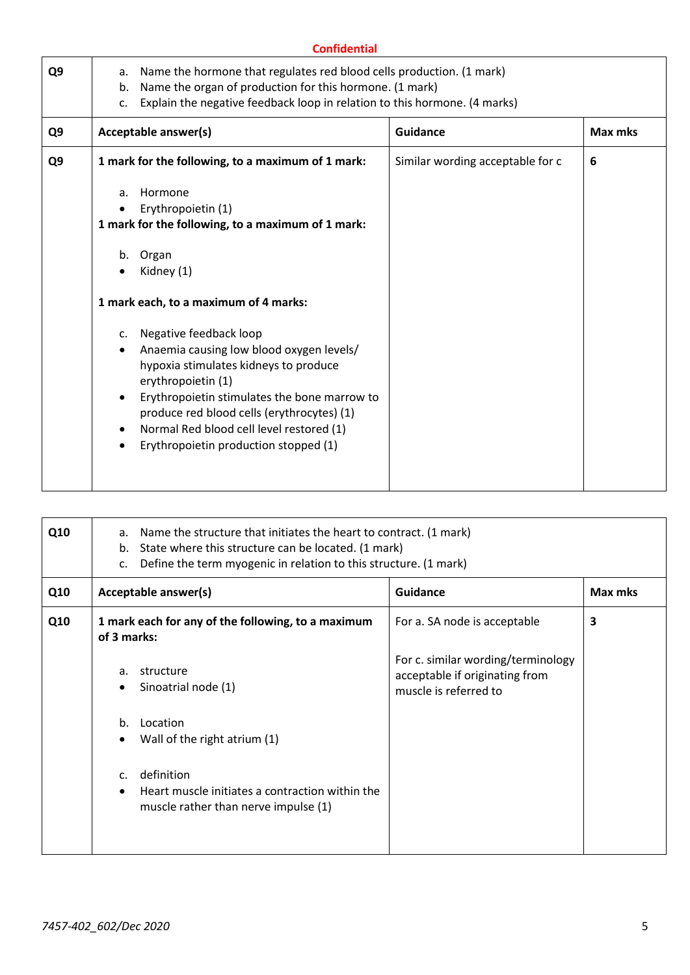|                | <b>Confidential</b>                                                                                                                                                                                                                                                                                                                                                          |                                                                                                                                                                         |         |  |  |
|----------------|------------------------------------------------------------------------------------------------------------------------------------------------------------------------------------------------------------------------------------------------------------------------------------------------------------------------------------------------------------------------------|-------------------------------------------------------------------------------------------------------------------------------------------------------------------------|---------|--|--|
| a.<br>b.<br>c. | Name the hormone that regulates red blood cells production. (1 mark)<br>Name the organ of production for this hormone. (1 mark)<br>Explain the negative feedback loop in relation to this hormone. (4 marks)                                                                                                                                                                 |                                                                                                                                                                         |         |  |  |
|                |                                                                                                                                                                                                                                                                                                                                                                              | <b>Guidance</b>                                                                                                                                                         | Max mks |  |  |
|                |                                                                                                                                                                                                                                                                                                                                                                              | Similar wording acceptable for c                                                                                                                                        | 6       |  |  |
| a.<br>b.<br>c. | Hormone<br>Erythropoietin (1)<br>Organ<br>Kidney (1)<br>Negative feedback loop<br>Anaemia causing low blood oxygen levels/<br>hypoxia stimulates kidneys to produce<br>erythropoietin (1)<br>Erythropoietin stimulates the bone marrow to<br>produce red blood cells (erythrocytes) (1)<br>Normal Red blood cell level restored (1)<br>Erythropoietin production stopped (1) |                                                                                                                                                                         |         |  |  |
|                |                                                                                                                                                                                                                                                                                                                                                                              | Acceptable answer(s)<br>1 mark for the following, to a maximum of 1 mark:<br>1 mark for the following, to a maximum of 1 mark:<br>1 mark each, to a maximum of 4 marks: |         |  |  |

| Q10 | Name the structure that initiates the heart to contract. (1 mark)<br>a.<br>State where this structure can be located. (1 mark)<br>b.<br>Define the term myogenic in relation to this structure. (1 mark)<br>c. |                                                                                         |                                                                                               |         |
|-----|----------------------------------------------------------------------------------------------------------------------------------------------------------------------------------------------------------------|-----------------------------------------------------------------------------------------|-----------------------------------------------------------------------------------------------|---------|
| Q10 | Acceptable answer(s)<br>Guidance                                                                                                                                                                               |                                                                                         |                                                                                               | Max mks |
| Q10 | of 3 marks:                                                                                                                                                                                                    | 1 mark each for any of the following, to a maximum                                      | For a. SA node is acceptable                                                                  | 3       |
|     | structure<br>a.                                                                                                                                                                                                | Sinoatrial node (1)                                                                     | For c. similar wording/terminology<br>acceptable if originating from<br>muscle is referred to |         |
|     | Location<br>$h_{\cdot}$                                                                                                                                                                                        | Wall of the right atrium (1)                                                            |                                                                                               |         |
|     | definition<br>$\mathsf{C}$ .                                                                                                                                                                                   | Heart muscle initiates a contraction within the<br>muscle rather than nerve impulse (1) |                                                                                               |         |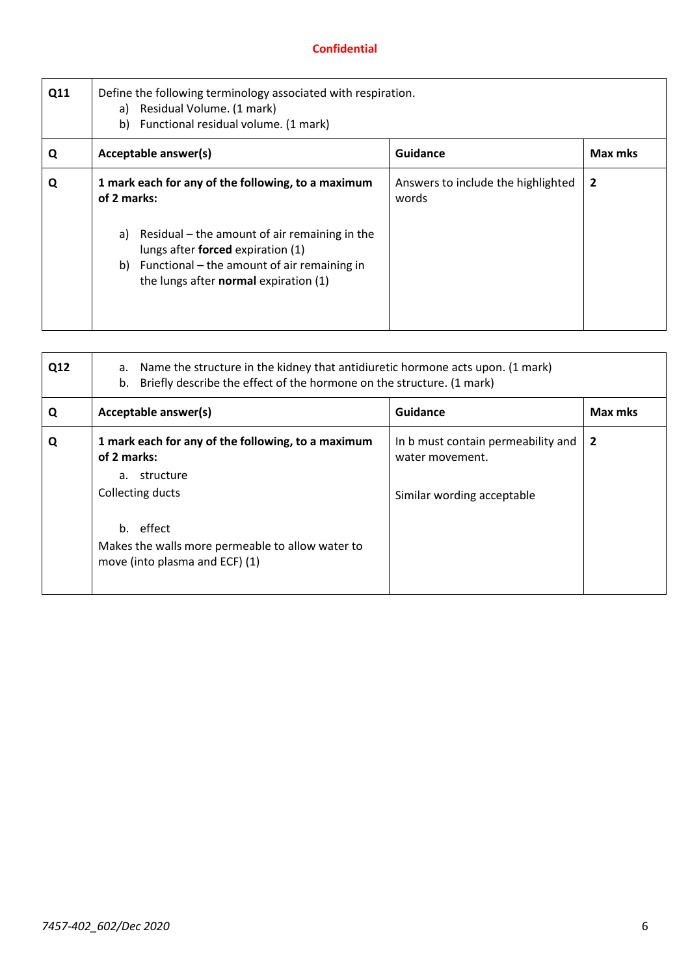| Q11 | Define the following terminology associated with respiration.<br>a) Residual Volume. (1 mark)<br>Functional residual volume. (1 mark)<br>b)                                                                                                              |                                             |                |  |  |
|-----|----------------------------------------------------------------------------------------------------------------------------------------------------------------------------------------------------------------------------------------------------------|---------------------------------------------|----------------|--|--|
| Q   | Guidance<br>Acceptable answer(s)<br>Max mks                                                                                                                                                                                                              |                                             |                |  |  |
| Q   | 1 mark each for any of the following, to a maximum<br>of 2 marks:<br>Residual – the amount of air remaining in the<br>a)<br>lungs after forced expiration (1)<br>b) Functional – the amount of air remaining in<br>the lungs after normal expiration (1) | Answers to include the highlighted<br>words | $\overline{2}$ |  |  |

| Q12 | Name the structure in the kidney that antidiuretic hormone acts upon. (1 mark)<br>а.<br>Briefly describe the effect of the hormone on the structure. (1 mark)<br>b.                                      |                                                                                     |                |  |  |
|-----|----------------------------------------------------------------------------------------------------------------------------------------------------------------------------------------------------------|-------------------------------------------------------------------------------------|----------------|--|--|
| Q   | Acceptable answer(s)                                                                                                                                                                                     | Guidance                                                                            | Max mks        |  |  |
| Q   | 1 mark each for any of the following, to a maximum<br>of 2 marks:<br>a. structure<br>Collecting ducts<br>b. effect<br>Makes the walls more permeable to allow water to<br>move (into plasma and ECF) (1) | In b must contain permeability and<br>water movement.<br>Similar wording acceptable | $\overline{2}$ |  |  |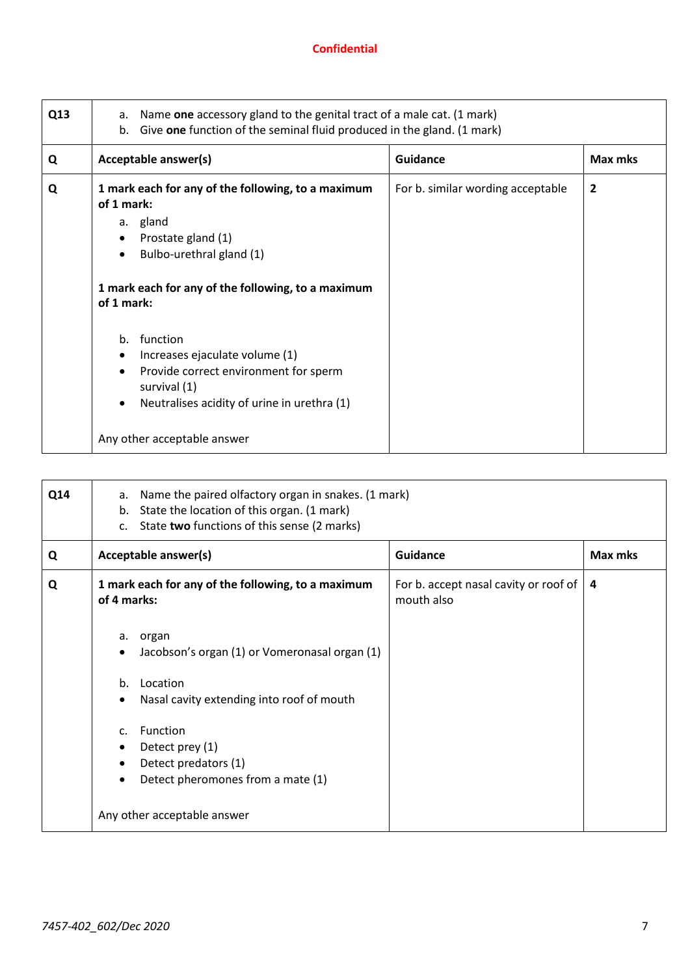| Q13 | Name one accessory gland to the genital tract of a male cat. (1 mark)<br>а.<br>Give one function of the seminal fluid produced in the gland. (1 mark)<br>b.                                                                                                                                                                                                                              |                                   |         |  |
|-----|------------------------------------------------------------------------------------------------------------------------------------------------------------------------------------------------------------------------------------------------------------------------------------------------------------------------------------------------------------------------------------------|-----------------------------------|---------|--|
| Q   | Acceptable answer(s)                                                                                                                                                                                                                                                                                                                                                                     | <b>Guidance</b>                   | Max mks |  |
| Q   | 1 mark each for any of the following, to a maximum<br>of 1 mark:<br>a. gland<br>Prostate gland (1)<br>Bulbo-urethral gland (1)<br>$\bullet$<br>1 mark each for any of the following, to a maximum<br>of 1 mark:<br>function<br>b.<br>Increases ejaculate volume (1)<br>Provide correct environment for sperm<br>survival (1)<br>Neutralises acidity of urine in urethra (1)<br>$\bullet$ | For b. similar wording acceptable | 2       |  |
|     | Any other acceptable answer                                                                                                                                                                                                                                                                                                                                                              |                                   |         |  |

| Q14 | Name the paired olfactory organ in snakes. (1 mark)<br>а.<br>State the location of this organ. (1 mark)<br>b.<br>State two functions of this sense (2 marks)<br>C <sub>1</sub>                                                                                           |                                                     |         |  |
|-----|--------------------------------------------------------------------------------------------------------------------------------------------------------------------------------------------------------------------------------------------------------------------------|-----------------------------------------------------|---------|--|
| Q   | Acceptable answer(s)                                                                                                                                                                                                                                                     | <b>Guidance</b>                                     | Max mks |  |
| Q   | 1 mark each for any of the following, to a maximum<br>of 4 marks:                                                                                                                                                                                                        | For b. accept nasal cavity or roof of<br>mouth also | 4       |  |
|     | a. organ<br>Jacobson's organ (1) or Vomeronasal organ (1)<br>$\bullet$<br>Location<br>$b_{1}$<br>Nasal cavity extending into roof of mouth<br>$\bullet$<br>Function<br>$\mathsf{C}$<br>Detect prey (1)<br>Detect predators (1)<br>٠<br>Detect pheromones from a mate (1) |                                                     |         |  |
|     | Any other acceptable answer                                                                                                                                                                                                                                              |                                                     |         |  |